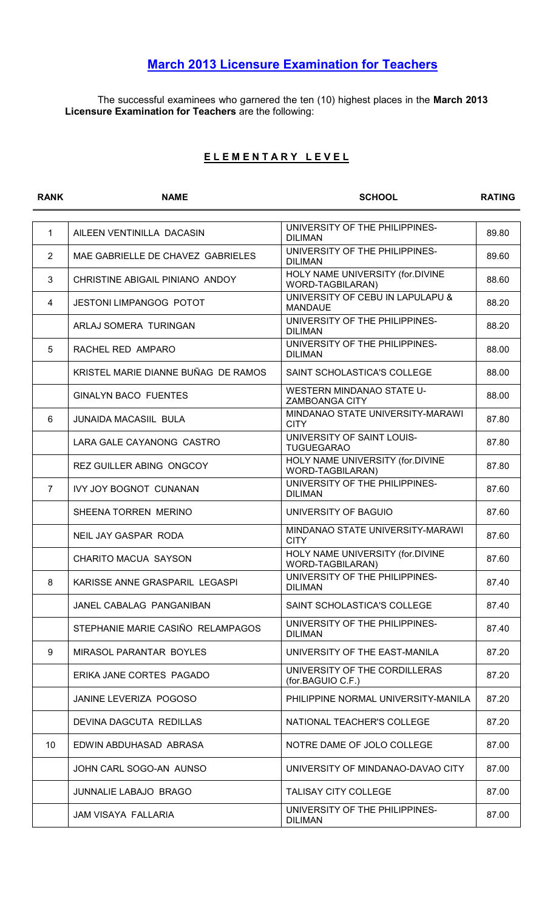## March 2013 Licensure Examination for Teachers

The successful examinees who garnered the ten (10) highest places in the March 2013 Licensure Examination for Teachers are the following:

## ELEMENTARY LEVEL

| <b>RANK</b>    | <b>NAME</b>                         | <b>SCHOOL</b>                                             | <b>RATING</b> |
|----------------|-------------------------------------|-----------------------------------------------------------|---------------|
|                |                                     |                                                           |               |
| $\mathbf{1}$   | AILEEN VENTINILLA DACASIN           | UNIVERSITY OF THE PHILIPPINES-<br><b>DILIMAN</b>          | 89.80         |
| $\overline{2}$ | MAE GABRIELLE DE CHAVEZ GABRIELES   | UNIVERSITY OF THE PHILIPPINES-<br><b>DILIMAN</b>          | 89.60         |
| 3              | CHRISTINE ABIGAIL PINIANO ANDOY     | HOLY NAME UNIVERSITY (for.DIVINE<br>WORD-TAGBILARAN)      | 88.60         |
| 4              | <b>JESTONI LIMPANGOG POTOT</b>      | UNIVERSITY OF CEBU IN LAPULAPU &<br><b>MANDAUE</b>        | 88.20         |
|                | ARLAJ SOMERA TURINGAN               | UNIVERSITY OF THE PHILIPPINES-<br><b>DILIMAN</b>          | 88.20         |
| 5              | RACHEL RED AMPARO                   | UNIVERSITY OF THE PHILIPPINES-<br><b>DILIMAN</b>          | 88.00         |
|                | KRISTEL MARIE DIANNE BUÑAG DE RAMOS | SAINT SCHOLASTICA'S COLLEGE                               | 88.00         |
|                | <b>GINALYN BACO FUENTES</b>         | <b>WESTERN MINDANAO STATE U-</b><br><b>ZAMBOANGA CITY</b> | 88.00         |
| 6              | <b>JUNAIDA MACASIIL BULA</b>        | MINDANAO STATE UNIVERSITY-MARAWI<br><b>CITY</b>           | 87.80         |
|                | LARA GALE CAYANONG CASTRO           | UNIVERSITY OF SAINT LOUIS-<br><b>TUGUEGARAO</b>           | 87.80         |
|                | <b>REZ GUILLER ABING ONGCOY</b>     | HOLY NAME UNIVERSITY (for.DIVINE<br>WORD-TAGBILARAN)      | 87.80         |
| $\overline{7}$ | <b>IVY JOY BOGNOT CUNANAN</b>       | UNIVERSITY OF THE PHILIPPINES-<br><b>DILIMAN</b>          | 87.60         |
|                | SHEENA TORREN MERINO                | UNIVERSITY OF BAGUIO                                      | 87.60         |
|                | NEIL JAY GASPAR RODA                | MINDANAO STATE UNIVERSITY-MARAWI<br><b>CITY</b>           | 87.60         |
|                | <b>CHARITO MACUA SAYSON</b>         | HOLY NAME UNIVERSITY (for.DIVINE<br>WORD-TAGBILARAN)      | 87.60         |
| 8              | KARISSE ANNE GRASPARIL LEGASPI      | UNIVERSITY OF THE PHILIPPINES-<br><b>DILIMAN</b>          | 87.40         |
|                | JANEL CABALAG PANGANIBAN            | SAINT SCHOLASTICA'S COLLEGE                               | 87.40         |
|                | STEPHANIE MARIE CASIÑO RELAMPAGOS   | UNIVERSITY OF THE PHILIPPINES-<br><b>DILIMAN</b>          | 87.40         |
| 9              | MIRASOL PARANTAR BOYLES             | UNIVERSITY OF THE EAST-MANILA                             | 87.20         |
|                | ERIKA JANE CORTES PAGADO            | UNIVERSITY OF THE CORDILLERAS<br>(for.BAGUIO C.F.)        | 87.20         |
|                | JANINE LEVERIZA POGOSO              | PHILIPPINE NORMAL UNIVERSITY-MANILA                       | 87.20         |
|                | DEVINA DAGCUTA REDILLAS             | NATIONAL TEACHER'S COLLEGE                                | 87.20         |
| 10             | EDWIN ABDUHASAD ABRASA              | NOTRE DAME OF JOLO COLLEGE                                | 87.00         |
|                | JOHN CARL SOGO-AN AUNSO             | UNIVERSITY OF MINDANAO-DAVAO CITY                         | 87.00         |
|                | <b>JUNNALIE LABAJO BRAGO</b>        | <b>TALISAY CITY COLLEGE</b>                               | 87.00         |
|                | <b>JAM VISAYA FALLARIA</b>          | UNIVERSITY OF THE PHILIPPINES-<br><b>DILIMAN</b>          | 87.00         |